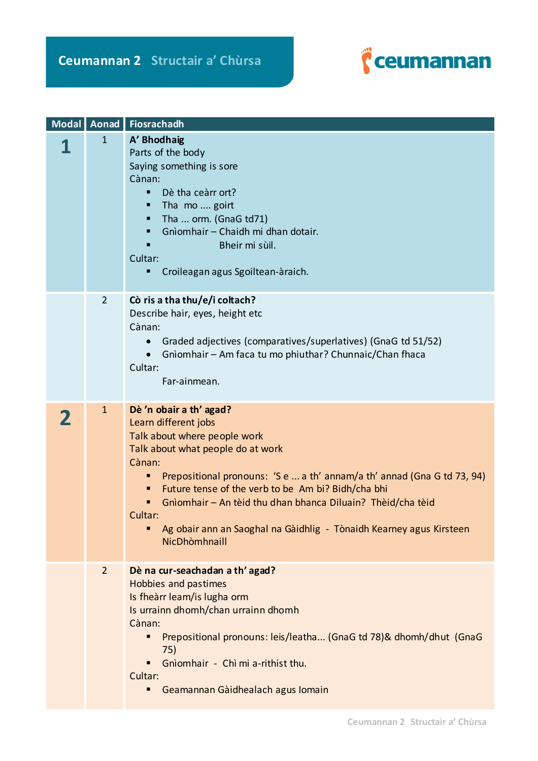

|                | Modal Aonad Fiosrachadh                                                                                                                                                                                                                                                                                                                                                                                                           |
|----------------|-----------------------------------------------------------------------------------------------------------------------------------------------------------------------------------------------------------------------------------------------------------------------------------------------------------------------------------------------------------------------------------------------------------------------------------|
| $\mathbf{1}$   | A' Bhodhaig<br>Parts of the body<br>Saying something is sore<br>Cànan:<br>Dè tha ceàrr ort?<br>$\blacksquare$<br>Tha mo  goirt<br>п<br>Tha  orm. (GnaG td71)<br>п<br>Gnìomhair - Chaidh mi dhan dotair.<br>Bheir mi sùil.<br>Cultar:<br>Croileagan agus Sgoiltean-àraich.<br>п                                                                                                                                                    |
| $\overline{2}$ | Cò ris a tha thu/e/i coltach?<br>Describe hair, eyes, height etc<br>Cànan:<br>Graded adjectives (comparatives/superlatives) (GnaG td 51/52)<br>Gnìomhair - Am faca tu mo phiuthar? Chunnaic/Chan fhaca<br>Cultar:<br>Far-ainmean.                                                                                                                                                                                                 |
| $\mathbf{1}$   | Dè 'n obair a th' agad?<br>Learn different jobs<br>Talk about where people work<br>Talk about what people do at work<br>Cànan:<br>Prepositional pronouns: 'S e  a th' annam/a th' annad (Gna G td 73, 94)<br>Future tense of the verb to be Am bi? Bidh/cha bhi<br>Gnìomhair - An tèid thu dhan bhanca Diluain? Thèid/cha tèid<br>Cultar:<br>Ag obair ann an Saoghal na Gàidhlig - Tònaidh Kearney agus Kirsteen<br>NicDhòmhnaill |
| $\overline{2}$ | Dè na cur-seachadan a th' agad?<br>Hobbies and pastimes<br>Is fheàrr leam/is lugha orm<br>Is urrainn dhomh/chan urrainn dhomh<br>Cànan:<br>Prepositional pronouns: leis/leatha (GnaG td 78)& dhomh/dhut (GnaG<br>75)<br>Gnìomhair - Chì mi a-rithist thu.<br>Cultar:<br>Geamannan Gàidhealach agus Iomain<br>п                                                                                                                    |